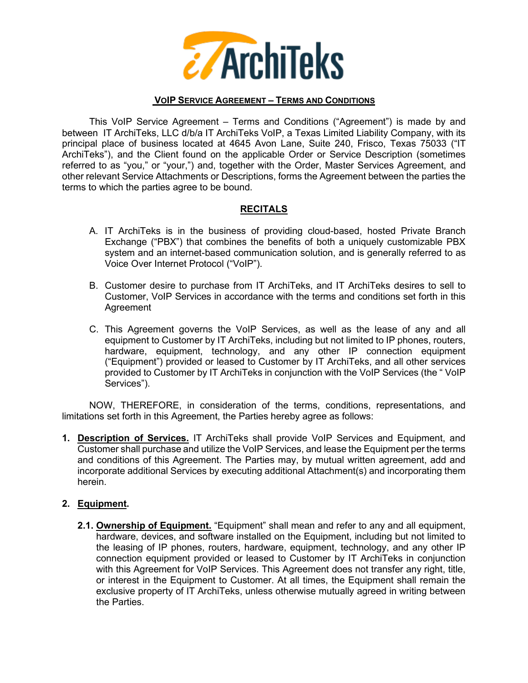

## **VOIP SERVICE AGREEMENT – TERMS AND CONDITIONS**

This VoIP Service Agreement – Terms and Conditions ("Agreement") is made by and between IT ArchiTeks, LLC d/b/a IT ArchiTeks VoIP, a Texas Limited Liability Company, with its principal place of business located at 4645 Avon Lane, Suite 240, Frisco, Texas 75033 ("IT ArchiTeks"), and the Client found on the applicable Order or Service Description (sometimes referred to as "you," or "your,") and, together with the Order, Master Services Agreement, and other relevant Service Attachments or Descriptions, forms the Agreement between the parties the terms to which the parties agree to be bound.

## **RECITALS**

- A. IT ArchiTeks is in the business of providing cloud-based, hosted Private Branch Exchange ("PBX") that combines the benefits of both a uniquely customizable PBX system and an internet-based communication solution, and is generally referred to as Voice Over Internet Protocol ("VoIP").
- B. Customer desire to purchase from IT ArchiTeks, and IT ArchiTeks desires to sell to Customer, VoIP Services in accordance with the terms and conditions set forth in this Agreement
- C. This Agreement governs the VoIP Services, as well as the lease of any and all equipment to Customer by IT ArchiTeks, including but not limited to IP phones, routers, hardware, equipment, technology, and any other IP connection equipment ("Equipment") provided or leased to Customer by IT ArchiTeks, and all other services provided to Customer by IT ArchiTeks in conjunction with the VoIP Services (the " VoIP Services").

NOW, THEREFORE, in consideration of the terms, conditions, representations, and limitations set forth in this Agreement, the Parties hereby agree as follows:

**1. Description of Services.** IT ArchiTeks shall provide VoIP Services and Equipment, and Customer shall purchase and utilize the VoIP Services, and lease the Equipment per the terms and conditions of this Agreement. The Parties may, by mutual written agreement, add and incorporate additional Services by executing additional Attachment(s) and incorporating them herein.

## **2. Equipment.**

**2.1. Ownership of Equipment.** "Equipment" shall mean and refer to any and all equipment, hardware, devices, and software installed on the Equipment, including but not limited to the leasing of IP phones, routers, hardware, equipment, technology, and any other IP connection equipment provided or leased to Customer by IT ArchiTeks in conjunction with this Agreement for VoIP Services. This Agreement does not transfer any right, title, or interest in the Equipment to Customer. At all times, the Equipment shall remain the exclusive property of IT ArchiTeks, unless otherwise mutually agreed in writing between the Parties.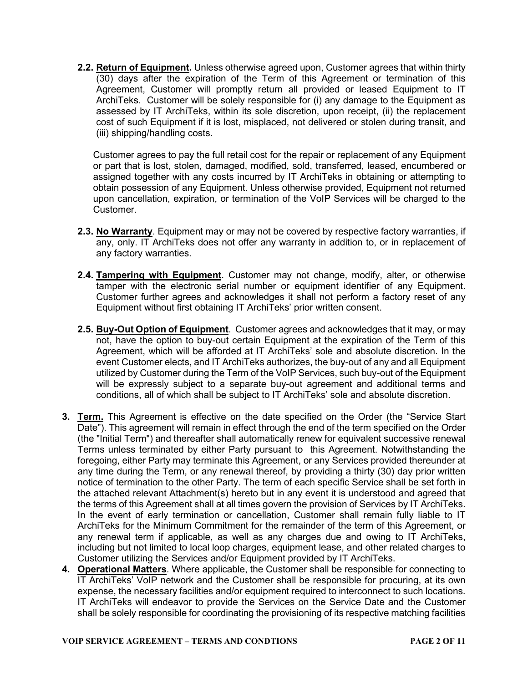**2.2. Return of Equipment.** Unless otherwise agreed upon, Customer agrees that within thirty (30) days after the expiration of the Term of this Agreement or termination of this Agreement, Customer will promptly return all provided or leased Equipment to IT ArchiTeks. Customer will be solely responsible for (i) any damage to the Equipment as assessed by IT ArchiTeks, within its sole discretion, upon receipt, (ii) the replacement cost of such Equipment if it is lost, misplaced, not delivered or stolen during transit, and (iii) shipping/handling costs.

Customer agrees to pay the full retail cost for the repair or replacement of any Equipment or part that is lost, stolen, damaged, modified, sold, transferred, leased, encumbered or assigned together with any costs incurred by IT ArchiTeks in obtaining or attempting to obtain possession of any Equipment. Unless otherwise provided, Equipment not returned upon cancellation, expiration, or termination of the VoIP Services will be charged to the Customer.

- **2.3. No Warranty**. Equipment may or may not be covered by respective factory warranties, if any, only. IT ArchiTeks does not offer any warranty in addition to, or in replacement of any factory warranties.
- **2.4. Tampering with Equipment**. Customer may not change, modify, alter, or otherwise tamper with the electronic serial number or equipment identifier of any Equipment. Customer further agrees and acknowledges it shall not perform a factory reset of any Equipment without first obtaining IT ArchiTeks' prior written consent.
- **2.5. Buy-Out Option of Equipment**. Customer agrees and acknowledges that it may, or may not, have the option to buy-out certain Equipment at the expiration of the Term of this Agreement, which will be afforded at IT ArchiTeks' sole and absolute discretion. In the event Customer elects, and IT ArchiTeks authorizes, the buy-out of any and all Equipment utilized by Customer during the Term of the VoIP Services, such buy-out of the Equipment will be expressly subject to a separate buy-out agreement and additional terms and conditions, all of which shall be subject to IT ArchiTeks' sole and absolute discretion.
- **3. Term.** This Agreement is effective on the date specified on the Order (the "Service Start Date"). This agreement will remain in effect through the end of the term specified on the Order (the "Initial Term") and thereafter shall automatically renew for equivalent successive renewal Terms unless terminated by either Party pursuant to this Agreement. Notwithstanding the foregoing, either Party may terminate this Agreement, or any Services provided thereunder at any time during the Term, or any renewal thereof, by providing a thirty (30) day prior written notice of termination to the other Party. The term of each specific Service shall be set forth in the attached relevant Attachment(s) hereto but in any event it is understood and agreed that the terms of this Agreement shall at all times govern the provision of Services by IT ArchiTeks. In the event of early termination or cancellation, Customer shall remain fully liable to IT ArchiTeks for the Minimum Commitment for the remainder of the term of this Agreement, or any renewal term if applicable, as well as any charges due and owing to IT ArchiTeks, including but not limited to local loop charges, equipment lease, and other related charges to Customer utilizing the Services and/or Equipment provided by IT ArchiTeks.
- **4. Operational Matters**. Where applicable, the Customer shall be responsible for connecting to IT ArchiTeks' VoIP network and the Customer shall be responsible for procuring, at its own expense, the necessary facilities and/or equipment required to interconnect to such locations. IT ArchiTeks will endeavor to provide the Services on the Service Date and the Customer shall be solely responsible for coordinating the provisioning of its respective matching facilities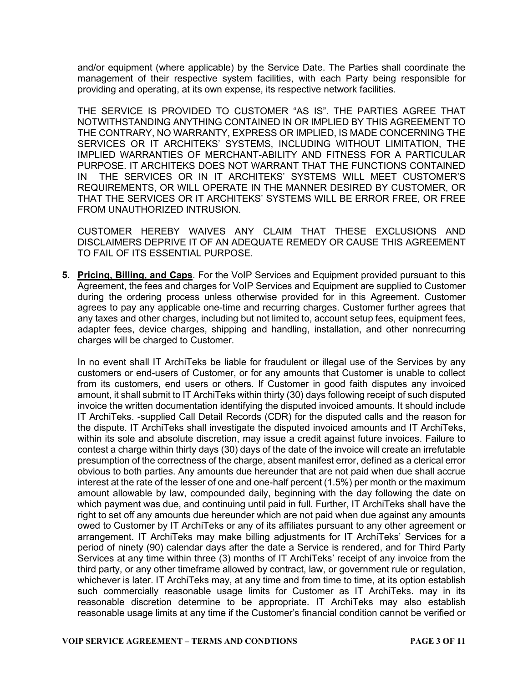and/or equipment (where applicable) by the Service Date. The Parties shall coordinate the management of their respective system facilities, with each Party being responsible for providing and operating, at its own expense, its respective network facilities.

THE SERVICE IS PROVIDED TO CUSTOMER "AS IS". THE PARTIES AGREE THAT NOTWITHSTANDING ANYTHING CONTAINED IN OR IMPLIED BY THIS AGREEMENT TO THE CONTRARY, NO WARRANTY, EXPRESS OR IMPLIED, IS MADE CONCERNING THE SERVICES OR IT ARCHITEKS' SYSTEMS, INCLUDING WITHOUT LIMITATION, THE IMPLIED WARRANTIES OF MERCHANT-ABILITY AND FITNESS FOR A PARTICULAR PURPOSE. IT ARCHITEKS DOES NOT WARRANT THAT THE FUNCTIONS CONTAINED IN THE SERVICES OR IN IT ARCHITEKS' SYSTEMS WILL MEET CUSTOMER'S REQUIREMENTS, OR WILL OPERATE IN THE MANNER DESIRED BY CUSTOMER, OR THAT THE SERVICES OR IT ARCHITEKS' SYSTEMS WILL BE ERROR FREE, OR FREE FROM UNAUTHORIZED INTRUSION.

CUSTOMER HEREBY WAIVES ANY CLAIM THAT THESE EXCLUSIONS AND DISCLAIMERS DEPRIVE IT OF AN ADEQUATE REMEDY OR CAUSE THIS AGREEMENT TO FAIL OF ITS ESSENTIAL PURPOSE.

**5. Pricing, Billing, and Caps**. For the VoIP Services and Equipment provided pursuant to this Agreement, the fees and charges for VoIP Services and Equipment are supplied to Customer during the ordering process unless otherwise provided for in this Agreement. Customer agrees to pay any applicable one-time and recurring charges. Customer further agrees that any taxes and other charges, including but not limited to, account setup fees, equipment fees, adapter fees, device charges, shipping and handling, installation, and other nonrecurring charges will be charged to Customer.

In no event shall IT ArchiTeks be liable for fraudulent or illegal use of the Services by any customers or end-users of Customer, or for any amounts that Customer is unable to collect from its customers, end users or others. If Customer in good faith disputes any invoiced amount, it shall submit to IT ArchiTeks within thirty (30) days following receipt of such disputed invoice the written documentation identifying the disputed invoiced amounts. It should include IT ArchiTeks. -supplied Call Detail Records (CDR) for the disputed calls and the reason for the dispute. IT ArchiTeks shall investigate the disputed invoiced amounts and IT ArchiTeks, within its sole and absolute discretion, may issue a credit against future invoices. Failure to contest a charge within thirty days (30) days of the date of the invoice will create an irrefutable presumption of the correctness of the charge, absent manifest error, defined as a clerical error obvious to both parties. Any amounts due hereunder that are not paid when due shall accrue interest at the rate of the lesser of one and one-half percent (1.5%) per month or the maximum amount allowable by law, compounded daily, beginning with the day following the date on which payment was due, and continuing until paid in full. Further, IT ArchiTeks shall have the right to set off any amounts due hereunder which are not paid when due against any amounts owed to Customer by IT ArchiTeks or any of its affiliates pursuant to any other agreement or arrangement. IT ArchiTeks may make billing adjustments for IT ArchiTeks' Services for a period of ninety (90) calendar days after the date a Service is rendered, and for Third Party Services at any time within three (3) months of IT ArchiTeks' receipt of any invoice from the third party, or any other timeframe allowed by contract, law, or government rule or regulation, whichever is later. IT ArchiTeks may, at any time and from time to time, at its option establish such commercially reasonable usage limits for Customer as IT ArchiTeks. may in its reasonable discretion determine to be appropriate. IT ArchiTeks may also establish reasonable usage limits at any time if the Customer's financial condition cannot be verified or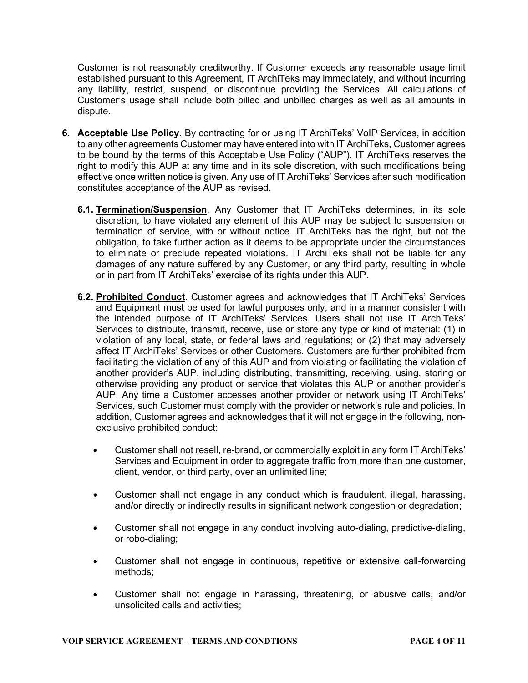Customer is not reasonably creditworthy. If Customer exceeds any reasonable usage limit established pursuant to this Agreement, IT ArchiTeks may immediately, and without incurring any liability, restrict, suspend, or discontinue providing the Services. All calculations of Customer's usage shall include both billed and unbilled charges as well as all amounts in dispute.

- **6. Acceptable Use Policy**. By contracting for or using IT ArchiTeks' VoIP Services, in addition to any other agreements Customer may have entered into with IT ArchiTeks, Customer agrees to be bound by the terms of this Acceptable Use Policy ("AUP"). IT ArchiTeks reserves the right to modify this AUP at any time and in its sole discretion, with such modifications being effective once written notice is given. Any use of IT ArchiTeks' Services after such modification constitutes acceptance of the AUP as revised.
	- **6.1. Termination/Suspension**. Any Customer that IT ArchiTeks determines, in its sole discretion, to have violated any element of this AUP may be subject to suspension or termination of service, with or without notice. IT ArchiTeks has the right, but not the obligation, to take further action as it deems to be appropriate under the circumstances to eliminate or preclude repeated violations. IT ArchiTeks shall not be liable for any damages of any nature suffered by any Customer, or any third party, resulting in whole or in part from IT ArchiTeks' exercise of its rights under this AUP.
	- **6.2. Prohibited Conduct**. Customer agrees and acknowledges that IT ArchiTeks' Services and Equipment must be used for lawful purposes only, and in a manner consistent with the intended purpose of IT ArchiTeks' Services. Users shall not use IT ArchiTeks' Services to distribute, transmit, receive, use or store any type or kind of material: (1) in violation of any local, state, or federal laws and regulations; or (2) that may adversely affect IT ArchiTeks' Services or other Customers. Customers are further prohibited from facilitating the violation of any of this AUP and from violating or facilitating the violation of another provider's AUP, including distributing, transmitting, receiving, using, storing or otherwise providing any product or service that violates this AUP or another provider's AUP. Any time a Customer accesses another provider or network using IT ArchiTeks' Services, such Customer must comply with the provider or network's rule and policies. In addition, Customer agrees and acknowledges that it will not engage in the following, nonexclusive prohibited conduct:
		- Customer shall not resell, re-brand, or commercially exploit in any form IT ArchiTeks' Services and Equipment in order to aggregate traffic from more than one customer, client, vendor, or third party, over an unlimited line;
		- Customer shall not engage in any conduct which is fraudulent, illegal, harassing, and/or directly or indirectly results in significant network congestion or degradation;
		- Customer shall not engage in any conduct involving auto-dialing, predictive-dialing, or robo-dialing;
		- Customer shall not engage in continuous, repetitive or extensive call-forwarding methods;
		- Customer shall not engage in harassing, threatening, or abusive calls, and/or unsolicited calls and activities;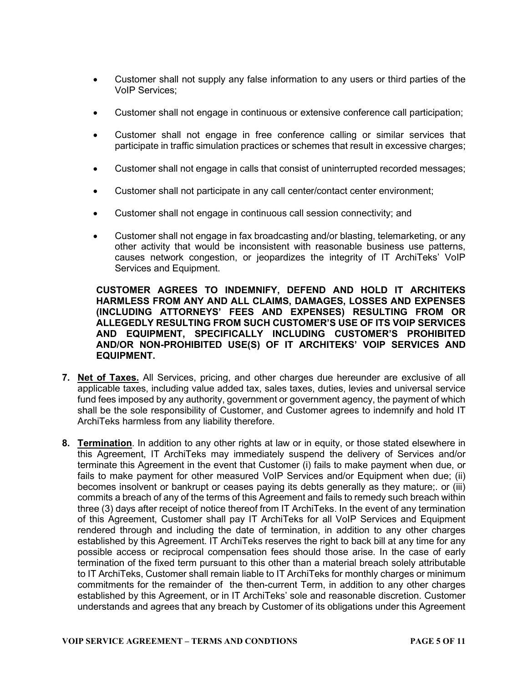- Customer shall not supply any false information to any users or third parties of the VoIP Services;
- Customer shall not engage in continuous or extensive conference call participation;
- Customer shall not engage in free conference calling or similar services that participate in traffic simulation practices or schemes that result in excessive charges;
- Customer shall not engage in calls that consist of uninterrupted recorded messages;
- Customer shall not participate in any call center/contact center environment;
- Customer shall not engage in continuous call session connectivity; and
- Customer shall not engage in fax broadcasting and/or blasting, telemarketing, or any other activity that would be inconsistent with reasonable business use patterns, causes network congestion, or jeopardizes the integrity of IT ArchiTeks' VoIP Services and Equipment.

**CUSTOMER AGREES TO INDEMNIFY, DEFEND AND HOLD IT ARCHITEKS HARMLESS FROM ANY AND ALL CLAIMS, DAMAGES, LOSSES AND EXPENSES (INCLUDING ATTORNEYS' FEES AND EXPENSES) RESULTING FROM OR ALLEGEDLY RESULTING FROM SUCH CUSTOMER'S USE OF ITS VOIP SERVICES AND EQUIPMENT, SPECIFICALLY INCLUDING CUSTOMER'S PROHIBITED AND/OR NON-PROHIBITED USE(S) OF IT ARCHITEKS' VOIP SERVICES AND EQUIPMENT.**

- **7. Net of Taxes.** All Services, pricing, and other charges due hereunder are exclusive of all applicable taxes, including value added tax, sales taxes, duties, levies and universal service fund fees imposed by any authority, government or government agency, the payment of which shall be the sole responsibility of Customer, and Customer agrees to indemnify and hold IT ArchiTeks harmless from any liability therefore.
- **8. Termination**. In addition to any other rights at law or in equity, or those stated elsewhere in this Agreement, IT ArchiTeks may immediately suspend the delivery of Services and/or terminate this Agreement in the event that Customer (i) fails to make payment when due, or fails to make payment for other measured VoIP Services and/or Equipment when due; (ii) becomes insolvent or bankrupt or ceases paying its debts generally as they mature;. or (iii) commits a breach of any of the terms of this Agreement and fails to remedy such breach within three (3) days after receipt of notice thereof from IT ArchiTeks. In the event of any termination of this Agreement, Customer shall pay IT ArchiTeks for all VoIP Services and Equipment rendered through and including the date of termination, in addition to any other charges established by this Agreement. IT ArchiTeks reserves the right to back bill at any time for any possible access or reciprocal compensation fees should those arise. In the case of early termination of the fixed term pursuant to this other than a material breach solely attributable to IT ArchiTeks, Customer shall remain liable to IT ArchiTeks for monthly charges or minimum commitments for the remainder of the then-current Term, in addition to any other charges established by this Agreement, or in IT ArchiTeks' sole and reasonable discretion. Customer understands and agrees that any breach by Customer of its obligations under this Agreement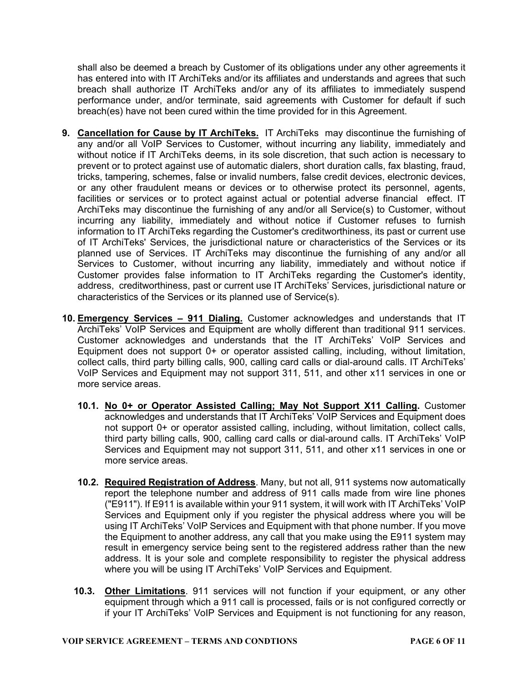shall also be deemed a breach by Customer of its obligations under any other agreements it has entered into with IT ArchiTeks and/or its affiliates and understands and agrees that such breach shall authorize IT ArchiTeks and/or any of its affiliates to immediately suspend performance under, and/or terminate, said agreements with Customer for default if such breach(es) have not been cured within the time provided for in this Agreement.

- **9. Cancellation for Cause by IT ArchiTeks.** IT ArchiTeks may discontinue the furnishing of any and/or all VoIP Services to Customer, without incurring any liability, immediately and without notice if IT ArchiTeks deems, in its sole discretion, that such action is necessary to prevent or to protect against use of automatic dialers, short duration calls, fax blasting, fraud, tricks, tampering, schemes, false or invalid numbers, false credit devices, electronic devices, or any other fraudulent means or devices or to otherwise protect its personnel, agents, facilities or services or to protect against actual or potential adverse financial effect. IT ArchiTeks may discontinue the furnishing of any and/or all Service(s) to Customer, without incurring any liability, immediately and without notice if Customer refuses to furnish information to IT ArchiTeks regarding the Customer's creditworthiness, its past or current use of IT ArchiTeks' Services, the jurisdictional nature or characteristics of the Services or its planned use of Services. IT ArchiTeks may discontinue the furnishing of any and/or all Services to Customer, without incurring any liability, immediately and without notice if Customer provides false information to IT ArchiTeks regarding the Customer's identity, address, creditworthiness, past or current use IT ArchiTeks' Services, jurisdictional nature or characteristics of the Services or its planned use of Service(s).
- **10. Emergency Services 911 Dialing.** Customer acknowledges and understands that IT ArchiTeks' VoIP Services and Equipment are wholly different than traditional 911 services. Customer acknowledges and understands that the IT ArchiTeks' VoIP Services and Equipment does not support 0+ or operator assisted calling, including, without limitation, collect calls, third party billing calls, 900, calling card calls or dial-around calls. IT ArchiTeks' VoIP Services and Equipment may not support 311, 511, and other x11 services in one or more service areas.
	- **10.1. No 0+ or Operator Assisted Calling; May Not Support X11 Calling.** Customer acknowledges and understands that IT ArchiTeks' VoIP Services and Equipment does not support 0+ or operator assisted calling, including, without limitation, collect calls, third party billing calls, 900, calling card calls or dial-around calls. IT ArchiTeks' VoIP Services and Equipment may not support 311, 511, and other x11 services in one or more service areas.
	- **10.2. Required Registration of Address**. Many, but not all, 911 systems now automatically report the telephone number and address of 911 calls made from wire line phones ("E911"). If E911 is available within your 911 system, it will work with IT ArchiTeks' VoIP Services and Equipment only if you register the physical address where you will be using IT ArchiTeks' VoIP Services and Equipment with that phone number. If you move the Equipment to another address, any call that you make using the E911 system may result in emergency service being sent to the registered address rather than the new address. It is your sole and complete responsibility to register the physical address where you will be using IT ArchiTeks' VoIP Services and Equipment.
	- **10.3. Other Limitations**. 911 services will not function if your equipment, or any other equipment through which a 911 call is processed, fails or is not configured correctly or if your IT ArchiTeks' VoIP Services and Equipment is not functioning for any reason,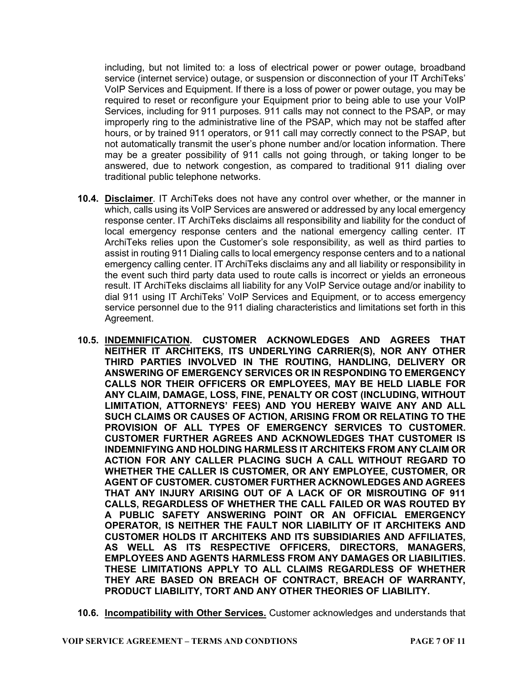including, but not limited to: a loss of electrical power or power outage, broadband service (internet service) outage, or suspension or disconnection of your IT ArchiTeks' VoIP Services and Equipment. If there is a loss of power or power outage, you may be required to reset or reconfigure your Equipment prior to being able to use your VoIP Services, including for 911 purposes. 911 calls may not connect to the PSAP, or may improperly ring to the administrative line of the PSAP, which may not be staffed after hours, or by trained 911 operators, or 911 call may correctly connect to the PSAP, but not automatically transmit the user's phone number and/or location information. There may be a greater possibility of 911 calls not going through, or taking longer to be answered, due to network congestion, as compared to traditional 911 dialing over traditional public telephone networks.

- **10.4. Disclaimer**. IT ArchiTeks does not have any control over whether, or the manner in which, calls using its VoIP Services are answered or addressed by any local emergency response center. IT ArchiTeks disclaims all responsibility and liability for the conduct of local emergency response centers and the national emergency calling center. IT ArchiTeks relies upon the Customer's sole responsibility, as well as third parties to assist in routing 911 Dialing calls to local emergency response centers and to a national emergency calling center. IT ArchiTeks disclaims any and all liability or responsibility in the event such third party data used to route calls is incorrect or yields an erroneous result. IT ArchiTeks disclaims all liability for any VoIP Service outage and/or inability to dial 911 using IT ArchiTeks' VoIP Services and Equipment, or to access emergency service personnel due to the 911 dialing characteristics and limitations set forth in this Agreement.
- **10.5. INDEMNIFICATION. CUSTOMER ACKNOWLEDGES AND AGREES THAT NEITHER IT ARCHITEKS, ITS UNDERLYING CARRIER(S), NOR ANY OTHER THIRD PARTIES INVOLVED IN THE ROUTING, HANDLING, DELIVERY OR ANSWERING OF EMERGENCY SERVICES OR IN RESPONDING TO EMERGENCY CALLS NOR THEIR OFFICERS OR EMPLOYEES, MAY BE HELD LIABLE FOR ANY CLAIM, DAMAGE, LOSS, FINE, PENALTY OR COST (INCLUDING, WITHOUT LIMITATION, ATTORNEYS' FEES) AND YOU HEREBY WAIVE ANY AND ALL SUCH CLAIMS OR CAUSES OF ACTION, ARISING FROM OR RELATING TO THE PROVISION OF ALL TYPES OF EMERGENCY SERVICES TO CUSTOMER. CUSTOMER FURTHER AGREES AND ACKNOWLEDGES THAT CUSTOMER IS INDEMNIFYING AND HOLDING HARMLESS IT ARCHITEKS FROM ANY CLAIM OR ACTION FOR ANY CALLER PLACING SUCH A CALL WITHOUT REGARD TO WHETHER THE CALLER IS CUSTOMER, OR ANY EMPLOYEE, CUSTOMER, OR AGENT OF CUSTOMER. CUSTOMER FURTHER ACKNOWLEDGES AND AGREES THAT ANY INJURY ARISING OUT OF A LACK OF OR MISROUTING OF 911 CALLS, REGARDLESS OF WHETHER THE CALL FAILED OR WAS ROUTED BY A PUBLIC SAFETY ANSWERING POINT OR AN OFFICIAL EMERGENCY OPERATOR, IS NEITHER THE FAULT NOR LIABILITY OF IT ARCHITEKS AND CUSTOMER HOLDS IT ARCHITEKS AND ITS SUBSIDIARIES AND AFFILIATES, AS WELL AS ITS RESPECTIVE OFFICERS, DIRECTORS, MANAGERS, EMPLOYEES AND AGENTS HARMLESS FROM ANY DAMAGES OR LIABILITIES. THESE LIMITATIONS APPLY TO ALL CLAIMS REGARDLESS OF WHETHER THEY ARE BASED ON BREACH OF CONTRACT, BREACH OF WARRANTY, PRODUCT LIABILITY, TORT AND ANY OTHER THEORIES OF LIABILITY.**
- **10.6. Incompatibility with Other Services.** Customer acknowledges and understands that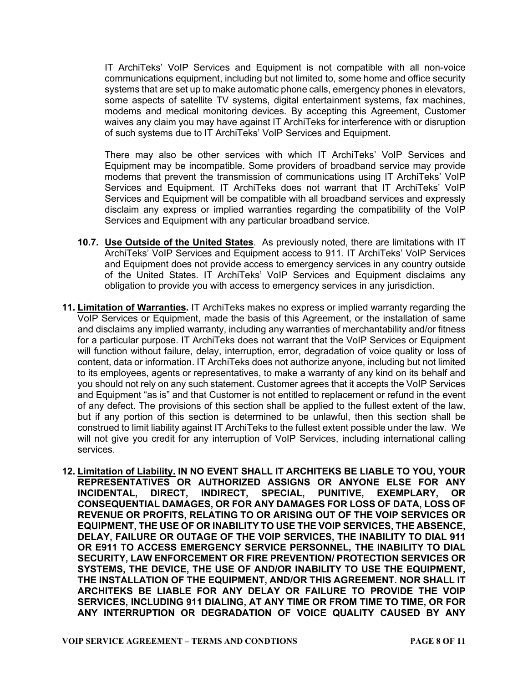IT ArchiTeks' VoIP Services and Equipment is not compatible with all non-voice communications equipment, including but not limited to, some home and office security systems that are set up to make automatic phone calls, emergency phones in elevators, some aspects of satellite TV systems, digital entertainment systems, fax machines, modems and medical monitoring devices. By accepting this Agreement, Customer waives any claim you may have against IT ArchiTeks for interference with or disruption of such systems due to IT ArchiTeks' VoIP Services and Equipment.

There may also be other services with which IT ArchiTeks' VoIP Services and Equipment may be incompatible. Some providers of broadband service may provide modems that prevent the transmission of communications using IT ArchiTeks' VoIP Services and Equipment. IT ArchiTeks does not warrant that IT ArchiTeks' VoIP Services and Equipment will be compatible with all broadband services and expressly disclaim any express or implied warranties regarding the compatibility of the VoIP Services and Equipment with any particular broadband service.

- **10.7. Use Outside of the United States**. As previously noted, there are limitations with IT ArchiTeks' VoIP Services and Equipment access to 911. IT ArchiTeks' VoIP Services and Equipment does not provide access to emergency services in any country outside of the United States. IT ArchiTeks' VoIP Services and Equipment disclaims any obligation to provide you with access to emergency services in any jurisdiction.
- **11. Limitation of Warranties.** IT ArchiTeks makes no express or implied warranty regarding the VoIP Services or Equipment, made the basis of this Agreement, or the installation of same and disclaims any implied warranty, including any warranties of merchantability and/or fitness for a particular purpose. IT ArchiTeks does not warrant that the VoIP Services or Equipment will function without failure, delay, interruption, error, degradation of voice quality or loss of content, data or information. IT ArchiTeks does not authorize anyone, including but not limited to its employees, agents or representatives, to make a warranty of any kind on its behalf and you should not rely on any such statement. Customer agrees that it accepts the VoIP Services and Equipment "as is" and that Customer is not entitled to replacement or refund in the event of any defect. The provisions of this section shall be applied to the fullest extent of the law, but if any portion of this section is determined to be unlawful, then this section shall be construed to limit liability against IT ArchiTeks to the fullest extent possible under the law. We will not give you credit for any interruption of VoIP Services, including international calling services.
- **12. Limitation of Liability. IN NO EVENT SHALL IT ARCHITEKS BE LIABLE TO YOU, YOUR REPRESENTATIVES OR AUTHORIZED ASSIGNS OR ANYONE ELSE FOR ANY INCIDENTAL, DIRECT, INDIRECT, SPECIAL, PUNITIVE, EXEMPLARY, OR CONSEQUENTIAL DAMAGES, OR FOR ANY DAMAGES FOR LOSS OF DATA, LOSS OF REVENUE OR PROFITS, RELATING TO OR ARISING OUT OF THE VOIP SERVICES OR EQUIPMENT, THE USE OF OR INABILITY TO USE THE VOIP SERVICES, THE ABSENCE, DELAY, FAILURE OR OUTAGE OF THE VOIP SERVICES, THE INABILITY TO DIAL 911 OR E911 TO ACCESS EMERGENCY SERVICE PERSONNEL, THE INABILITY TO DIAL SECURITY, LAW ENFORCEMENT OR FIRE PREVENTION/ PROTECTION SERVICES OR SYSTEMS, THE DEVICE, THE USE OF AND/OR INABILITY TO USE THE EQUIPMENT, THE INSTALLATION OF THE EQUIPMENT, AND/OR THIS AGREEMENT. NOR SHALL IT ARCHITEKS BE LIABLE FOR ANY DELAY OR FAILURE TO PROVIDE THE VOIP SERVICES, INCLUDING 911 DIALING, AT ANY TIME OR FROM TIME TO TIME, OR FOR ANY INTERRUPTION OR DEGRADATION OF VOICE QUALITY CAUSED BY ANY**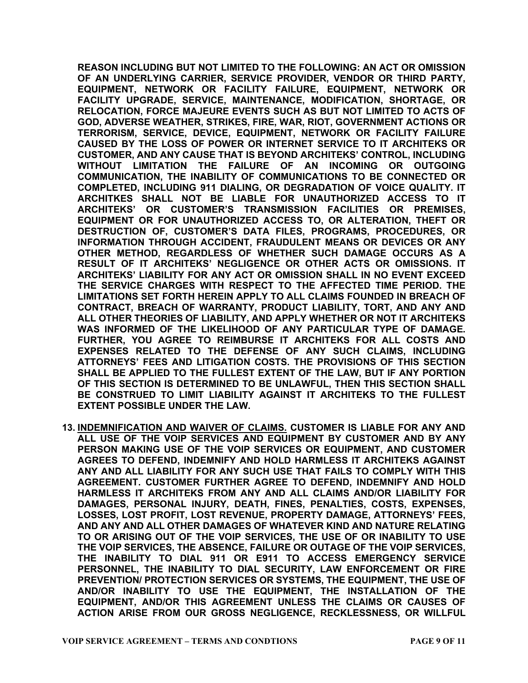**REASON INCLUDING BUT NOT LIMITED TO THE FOLLOWING: AN ACT OR OMISSION OF AN UNDERLYING CARRIER, SERVICE PROVIDER, VENDOR OR THIRD PARTY, EQUIPMENT, NETWORK OR FACILITY FAILURE, EQUIPMENT, NETWORK OR FACILITY UPGRADE, SERVICE, MAINTENANCE, MODIFICATION, SHORTAGE, OR RELOCATION, FORCE MAJEURE EVENTS SUCH AS BUT NOT LIMITED TO ACTS OF GOD, ADVERSE WEATHER, STRIKES, FIRE, WAR, RIOT, GOVERNMENT ACTIONS OR TERRORISM, SERVICE, DEVICE, EQUIPMENT, NETWORK OR FACILITY FAILURE CAUSED BY THE LOSS OF POWER OR INTERNET SERVICE TO IT ARCHITEKS OR CUSTOMER, AND ANY CAUSE THAT IS BEYOND ARCHITEKS' CONTROL, INCLUDING WITHOUT LIMITATION THE FAILURE OF AN INCOMING OR OUTGOING COMMUNICATION, THE INABILITY OF COMMUNICATIONS TO BE CONNECTED OR COMPLETED, INCLUDING 911 DIALING, OR DEGRADATION OF VOICE QUALITY. IT ARCHITKES SHALL NOT BE LIABLE FOR UNAUTHORIZED ACCESS TO IT ARCHITEKS' OR CUSTOMER'S TRANSMISSION FACILITIES OR PREMISES, EQUIPMENT OR FOR UNAUTHORIZED ACCESS TO, OR ALTERATION, THEFT OR DESTRUCTION OF, CUSTOMER'S DATA FILES, PROGRAMS, PROCEDURES, OR INFORMATION THROUGH ACCIDENT, FRAUDULENT MEANS OR DEVICES OR ANY OTHER METHOD, REGARDLESS OF WHETHER SUCH DAMAGE OCCURS AS A RESULT OF IT ARCHITEKS' NEGLIGENCE OR OTHER ACTS OR OMISSIONS. IT ARCHITEKS' LIABILITY FOR ANY ACT OR OMISSION SHALL IN NO EVENT EXCEED THE SERVICE CHARGES WITH RESPECT TO THE AFFECTED TIME PERIOD. THE LIMITATIONS SET FORTH HEREIN APPLY TO ALL CLAIMS FOUNDED IN BREACH OF CONTRACT, BREACH OF WARRANTY, PRODUCT LIABILITY, TORT, AND ANY AND ALL OTHER THEORIES OF LIABILITY, AND APPLY WHETHER OR NOT IT ARCHITEKS WAS INFORMED OF THE LIKELIHOOD OF ANY PARTICULAR TYPE OF DAMAGE. FURTHER, YOU AGREE TO REIMBURSE IT ARCHITEKS FOR ALL COSTS AND EXPENSES RELATED TO THE DEFENSE OF ANY SUCH CLAIMS, INCLUDING ATTORNEYS' FEES AND LITIGATION COSTS. THE PROVISIONS OF THIS SECTION SHALL BE APPLIED TO THE FULLEST EXTENT OF THE LAW, BUT IF ANY PORTION OF THIS SECTION IS DETERMINED TO BE UNLAWFUL, THEN THIS SECTION SHALL BE CONSTRUED TO LIMIT LIABILITY AGAINST IT ARCHITEKS TO THE FULLEST EXTENT POSSIBLE UNDER THE LAW.** 

**13. INDEMNIFICATION AND WAIVER OF CLAIMS. CUSTOMER IS LIABLE FOR ANY AND ALL USE OF THE VOIP SERVICES AND EQUIPMENT BY CUSTOMER AND BY ANY PERSON MAKING USE OF THE VOIP SERVICES OR EQUIPMENT, AND CUSTOMER AGREES TO DEFEND, INDEMNIFY AND HOLD HARMLESS IT ARCHITEKS AGAINST ANY AND ALL LIABILITY FOR ANY SUCH USE THAT FAILS TO COMPLY WITH THIS AGREEMENT. CUSTOMER FURTHER AGREE TO DEFEND, INDEMNIFY AND HOLD HARMLESS IT ARCHITEKS FROM ANY AND ALL CLAIMS AND/OR LIABILITY FOR DAMAGES, PERSONAL INJURY, DEATH, FINES, PENALTIES, COSTS, EXPENSES, LOSSES, LOST PROFIT, LOST REVENUE, PROPERTY DAMAGE, ATTORNEYS' FEES, AND ANY AND ALL OTHER DAMAGES OF WHATEVER KIND AND NATURE RELATING TO OR ARISING OUT OF THE VOIP SERVICES, THE USE OF OR INABILITY TO USE THE VOIP SERVICES, THE ABSENCE, FAILURE OR OUTAGE OF THE VOIP SERVICES, THE INABILITY TO DIAL 911 OR E911 TO ACCESS EMERGENCY SERVICE PERSONNEL, THE INABILITY TO DIAL SECURITY, LAW ENFORCEMENT OR FIRE PREVENTION/ PROTECTION SERVICES OR SYSTEMS, THE EQUIPMENT, THE USE OF AND/OR INABILITY TO USE THE EQUIPMENT, THE INSTALLATION OF THE EQUIPMENT, AND/OR THIS AGREEMENT UNLESS THE CLAIMS OR CAUSES OF ACTION ARISE FROM OUR GROSS NEGLIGENCE, RECKLESSNESS, OR WILLFUL**